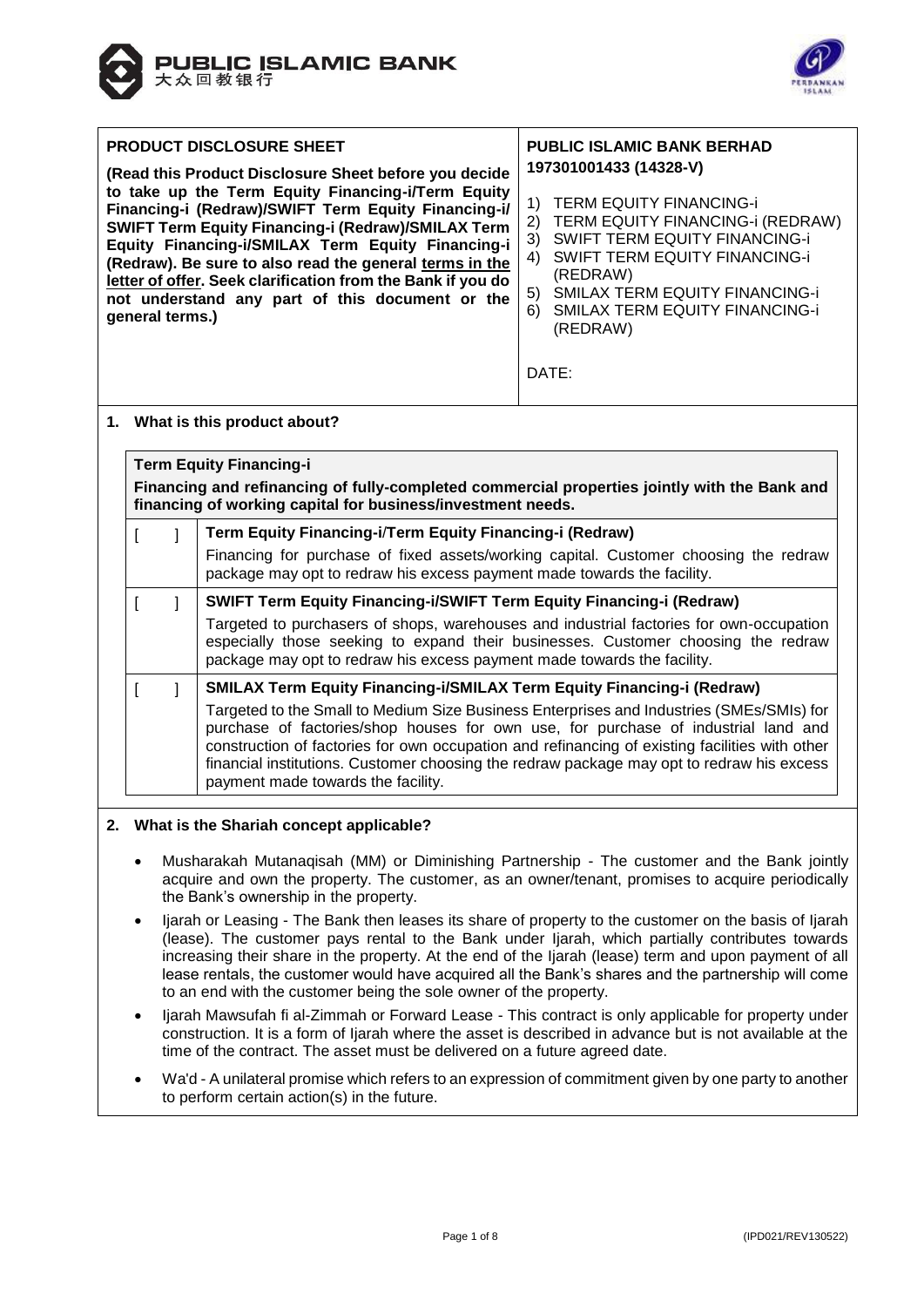



| <b>PRODUCT DISCLOSURE SHEET</b><br><b>PUBLIC ISLAMIC BANK BERHAD</b><br>197301001433 (14328-V)<br>(Read this Product Disclosure Sheet before you decide)<br>to take up the Term Equity Financing-i/Term Equity<br><b>TERM EQUITY FINANCING-i</b><br>1)                                                                                                                                                                                                                                                                                                                                                                                     |  |  |  |  |  |  |  |  |
|--------------------------------------------------------------------------------------------------------------------------------------------------------------------------------------------------------------------------------------------------------------------------------------------------------------------------------------------------------------------------------------------------------------------------------------------------------------------------------------------------------------------------------------------------------------------------------------------------------------------------------------------|--|--|--|--|--|--|--|--|
| Financing-i (Redraw)/SWIFT Term Equity Financing-i/<br>TERM EQUITY FINANCING-i (REDRAW)<br>2)<br><b>SWIFT Term Equity Financing-i (Redraw)/SMILAX Term</b><br><b>SWIFT TERM EQUITY FINANCING-i</b><br>3)<br>Equity Financing-i/SMILAX Term Equity Financing-i<br><b>SWIFT TERM EQUITY FINANCING-i</b><br>4)<br>(Redraw). Be sure to also read the general terms in the<br>(REDRAW)<br>letter of offer. Seek clarification from the Bank if you do<br><b>SMILAX TERM EQUITY FINANCING-i</b><br>5)<br>not understand any part of this document or the<br><b>SMILAX TERM EQUITY FINANCING-i</b><br>6)<br>general terms.)<br>(REDRAW)<br>DATE: |  |  |  |  |  |  |  |  |
| 1. What is this product about?                                                                                                                                                                                                                                                                                                                                                                                                                                                                                                                                                                                                             |  |  |  |  |  |  |  |  |
| <b>Term Equity Financing-i</b><br>Financing and refinancing of fully-completed commercial properties jointly with the Bank and<br>financing of working capital for business/investment needs.<br>$\blacksquare$ Tarm Eauitu Einanaina $\blacksquare$ Tarm Eauitu Einanaina $\blacksquare$ (Dadraw)<br>$\mathbf{r}$ $\mathbf{r}$                                                                                                                                                                                                                                                                                                            |  |  |  |  |  |  |  |  |

| financing of working capital for business/investment needs. |                                                                             |                                                                                                                                                                                                                                                                                                                                                                                                                     |  |  |  |  |  |
|-------------------------------------------------------------|-----------------------------------------------------------------------------|---------------------------------------------------------------------------------------------------------------------------------------------------------------------------------------------------------------------------------------------------------------------------------------------------------------------------------------------------------------------------------------------------------------------|--|--|--|--|--|
|                                                             |                                                                             | Term Equity Financing-i/Term Equity Financing-i (Redraw)                                                                                                                                                                                                                                                                                                                                                            |  |  |  |  |  |
|                                                             |                                                                             | Financing for purchase of fixed assets/working capital. Customer choosing the redraw<br>package may opt to redraw his excess payment made towards the facility.                                                                                                                                                                                                                                                     |  |  |  |  |  |
|                                                             | <b>SWIFT Term Equity Financing-i/SWIFT Term Equity Financing-i (Redraw)</b> |                                                                                                                                                                                                                                                                                                                                                                                                                     |  |  |  |  |  |
|                                                             |                                                                             | Targeted to purchasers of shops, warehouses and industrial factories for own-occupation<br>especially those seeking to expand their businesses. Customer choosing the redraw<br>package may opt to redraw his excess payment made towards the facility.                                                                                                                                                             |  |  |  |  |  |
|                                                             |                                                                             | <b>SMILAX Term Equity Financing-i/SMILAX Term Equity Financing-i (Redraw)</b>                                                                                                                                                                                                                                                                                                                                       |  |  |  |  |  |
|                                                             |                                                                             | Targeted to the Small to Medium Size Business Enterprises and Industries (SMEs/SMIs) for<br>purchase of factories/shop houses for own use, for purchase of industrial land and<br>construction of factories for own occupation and refinancing of existing facilities with other<br>financial institutions. Customer choosing the redraw package may opt to redraw his excess<br>payment made towards the facility. |  |  |  |  |  |

## **2. What is the Shariah concept applicable?**

- Musharakah Mutanaqisah (MM) or Diminishing Partnership The customer and the Bank jointly acquire and own the property. The customer, as an owner/tenant, promises to acquire periodically the Bank's ownership in the property.
- Ijarah or Leasing The Bank then leases its share of property to the customer on the basis of Ijarah (lease). The customer pays rental to the Bank under Ijarah, which partially contributes towards increasing their share in the property. At the end of the Ijarah (lease) term and upon payment of all lease rentals, the customer would have acquired all the Bank's shares and the partnership will come to an end with the customer being the sole owner of the property.
- Ijarah Mawsufah fi al-Zimmah or Forward Lease This contract is only applicable for property under construction. It is a form of Ijarah where the asset is described in advance but is not available at the time of the contract. The asset must be delivered on a future agreed date.
- Wa'd A unilateral promise which refers to an expression of commitment given by one party to another to perform certain action(s) in the future.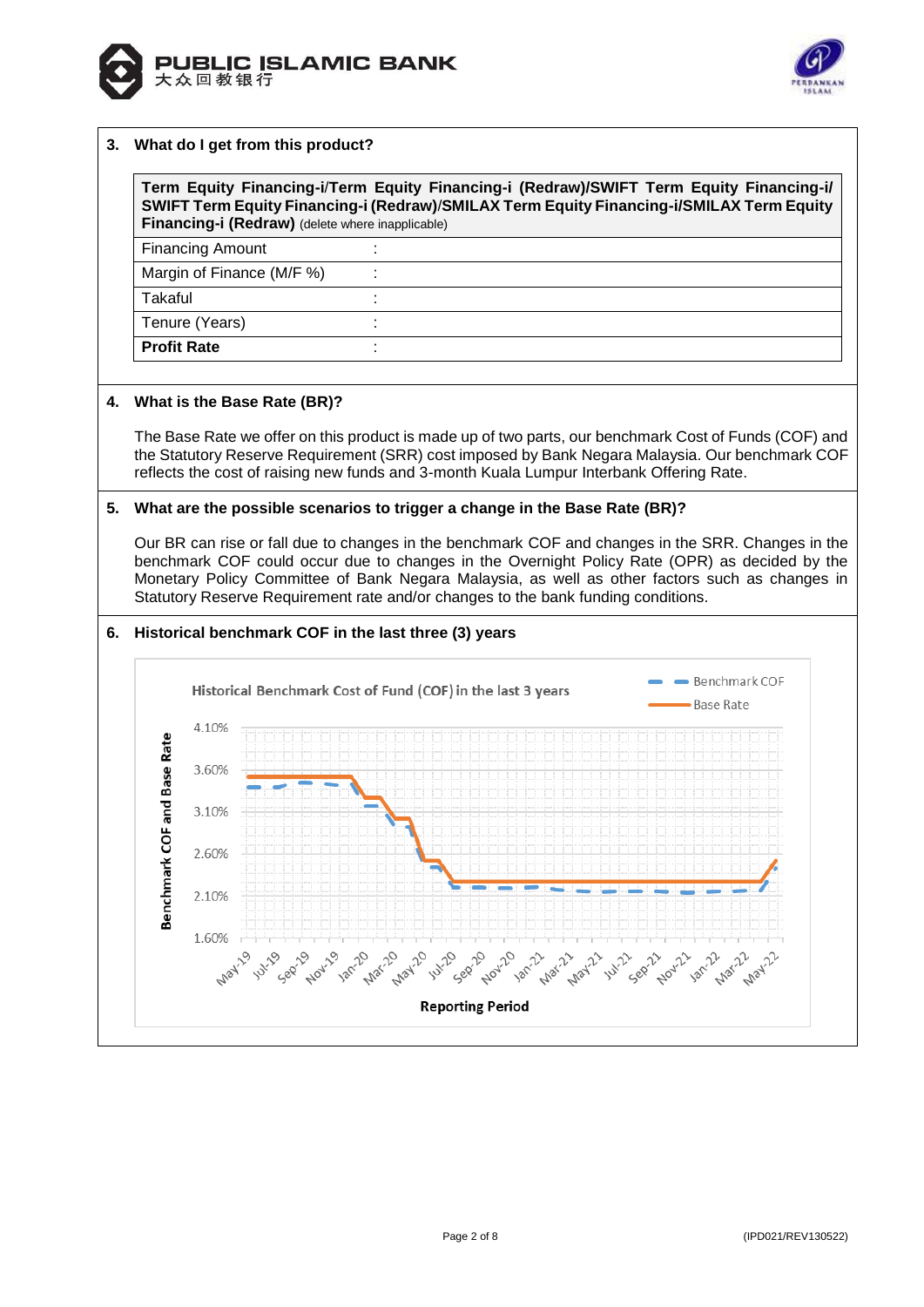



#### **3. What do I get from this product?**

**Term Equity Financing-i**/**Term Equity Financing-i (Redraw)/SWIFT Term Equity Financing-i/ SWIFT Term Equity Financing-i (Redraw)**/**SMILAX Term Equity Financing-i/SMILAX Term Equity Financing-i (Redraw)** (delete where inapplicable)

| <b>Financing Amount</b>   |  |
|---------------------------|--|
| Margin of Finance (M/F %) |  |
| Takaful                   |  |
| Tenure (Years)            |  |
| <b>Profit Rate</b>        |  |

#### **4. What is the Base Rate (BR)?**

The Base Rate we offer on this product is made up of two parts, our benchmark Cost of Funds (COF) and the Statutory Reserve Requirement (SRR) cost imposed by Bank Negara Malaysia. Our benchmark COF reflects the cost of raising new funds and 3-month Kuala Lumpur Interbank Offering Rate.

#### **5. What are the possible scenarios to trigger a change in the Base Rate (BR)?**

Our BR can rise or fall due to changes in the benchmark COF and changes in the SRR. Changes in the benchmark COF could occur due to changes in the Overnight Policy Rate (OPR) as decided by the Monetary Policy Committee of Bank Negara Malaysia, as well as other factors such as changes in Statutory Reserve Requirement rate and/or changes to the bank funding conditions.

#### **6. Historical benchmark COF in the last three (3) years**

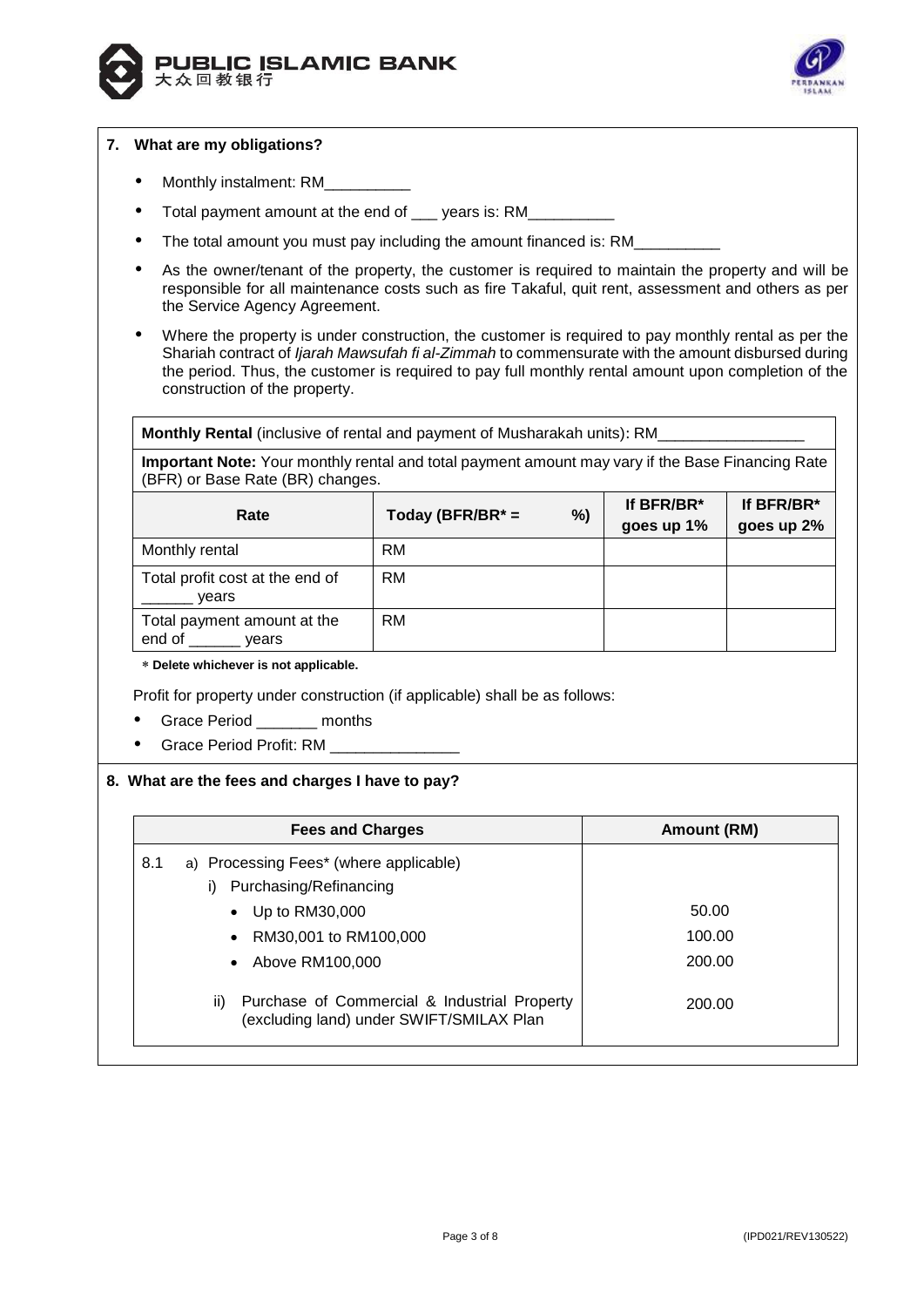



# **7. What are my obligations?**

- Monthly instalment: RM
- Total payment amount at the end of \_\_\_\_ years is: RM\_\_\_\_
- The total amount you must pay including the amount financed is: RM
- As the owner/tenant of the property, the customer is required to maintain the property and will be responsible for all maintenance costs such as fire Takaful, quit rent, assessment and others as per the Service Agency Agreement.
- Where the property is under construction, the customer is required to pay monthly rental as per the Shariah contract of *Ijarah Mawsufah fi al-Zimmah* to commensurate with the amount disbursed during the period. Thus, the customer is required to pay full monthly rental amount upon completion of the construction of the property.

**Monthly Rental** (inclusive of rental and payment of Musharakah units): RM\_\_\_\_\_\_\_\_\_\_\_\_\_\_\_\_\_

**Important Note:** Your monthly rental and total payment amount may vary if the Base Financing Rate (BFR) or Base Rate (BR) changes.

| Rate                                           | Today (BFR/BR $* =$ | %) | If BFR/BR*<br>goes up 1% | If BFR/BR*<br>goes up 2% |
|------------------------------------------------|---------------------|----|--------------------------|--------------------------|
| Monthly rental                                 | <b>RM</b>           |    |                          |                          |
| Total profit cost at the end of<br>vears       | <b>RM</b>           |    |                          |                          |
| Total payment amount at the<br>end of<br>vears | <b>RM</b>           |    |                          |                          |

**Delete whichever is not applicable.**

Profit for property under construction (if applicable) shall be as follows:

- Grace Period \_\_\_\_\_\_\_ months
- Grace Period Profit: RM

## **8. What are the fees and charges I have to pay?**

|     | <b>Fees and Charges</b>                                                                  | Amount (RM) |
|-----|------------------------------------------------------------------------------------------|-------------|
| 8.1 | a) Processing Fees* (where applicable)<br>Purchasing/Refinancing                         |             |
|     | Up to RM30,000                                                                           | 50.00       |
|     | RM30,001 to RM100,000                                                                    | 100.00      |
|     | $\bullet$ Above RM100.000                                                                | 200.00      |
| ii) | Purchase of Commercial & Industrial Property<br>(excluding land) under SWIFT/SMILAX Plan | 200.00      |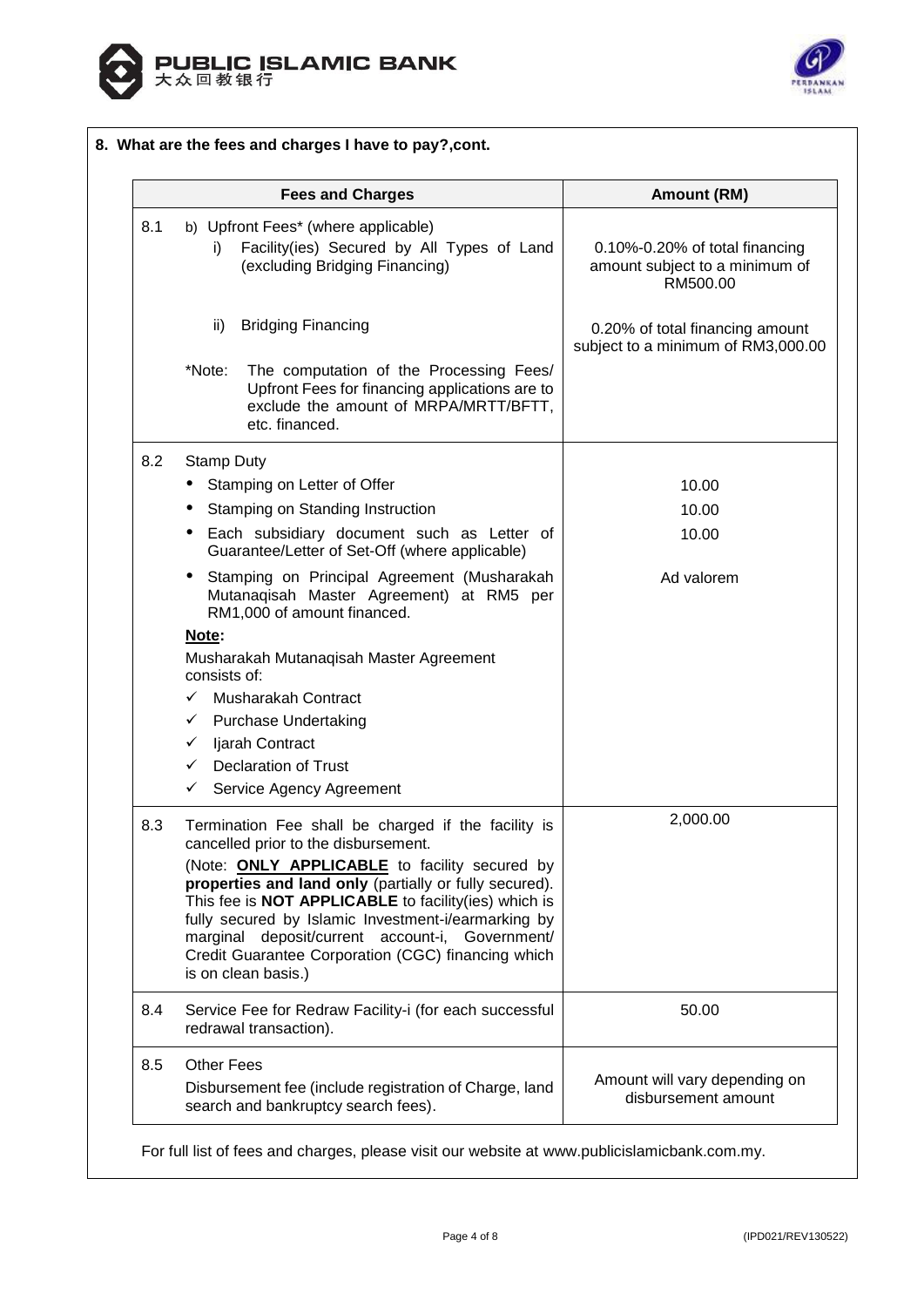



|     | <b>Fees and Charges</b>                                                                                                                                                                                                                                                                                                                                       | Amount (RM)                                                                  |
|-----|---------------------------------------------------------------------------------------------------------------------------------------------------------------------------------------------------------------------------------------------------------------------------------------------------------------------------------------------------------------|------------------------------------------------------------------------------|
| 8.1 | b) Upfront Fees* (where applicable)<br>Facility(ies) Secured by All Types of Land<br>i)<br>(excluding Bridging Financing)                                                                                                                                                                                                                                     | 0.10%-0.20% of total financing<br>amount subject to a minimum of<br>RM500.00 |
|     | ii)<br><b>Bridging Financing</b>                                                                                                                                                                                                                                                                                                                              | 0.20% of total financing amount<br>subject to a minimum of RM3,000.00        |
|     | The computation of the Processing Fees/<br>*Note:<br>Upfront Fees for financing applications are to<br>exclude the amount of MRPA/MRTT/BFTT,<br>etc. financed.                                                                                                                                                                                                |                                                                              |
| 8.2 | <b>Stamp Duty</b>                                                                                                                                                                                                                                                                                                                                             |                                                                              |
|     | Stamping on Letter of Offer<br>٠                                                                                                                                                                                                                                                                                                                              | 10.00                                                                        |
|     | <b>Stamping on Standing Instruction</b>                                                                                                                                                                                                                                                                                                                       | 10.00                                                                        |
|     | Each subsidiary document such as Letter of<br>٠<br>Guarantee/Letter of Set-Off (where applicable)                                                                                                                                                                                                                                                             | 10.00                                                                        |
|     | • Stamping on Principal Agreement (Musharakah<br>Mutanaqisah Master Agreement) at RM5 per<br>RM1,000 of amount financed.                                                                                                                                                                                                                                      | Ad valorem                                                                   |
|     | Note:<br>Musharakah Mutanaqisah Master Agreement<br>consists of:                                                                                                                                                                                                                                                                                              |                                                                              |
|     | Musharakah Contract<br>$\checkmark$                                                                                                                                                                                                                                                                                                                           |                                                                              |
|     | ← Purchase Undertaking                                                                                                                                                                                                                                                                                                                                        |                                                                              |
|     | Ijarah Contract<br>✓                                                                                                                                                                                                                                                                                                                                          |                                                                              |
|     | <b>Declaration of Trust</b><br>$\checkmark$                                                                                                                                                                                                                                                                                                                   |                                                                              |
|     | Service Agency Agreement<br>✓                                                                                                                                                                                                                                                                                                                                 |                                                                              |
| 8.3 | Termination Fee shall be charged if the facility is<br>cancelled prior to the disbursement.                                                                                                                                                                                                                                                                   | 2,000.00                                                                     |
|     | (Note: <b>ONLY APPLICABLE</b> to facility secured by<br>properties and land only (partially or fully secured).<br>This fee is NOT APPLICABLE to facility(ies) which is<br>fully secured by Islamic Investment-i/earmarking by<br>marginal deposit/current account-i, Government/<br>Credit Guarantee Corporation (CGC) financing which<br>is on clean basis.) |                                                                              |
| 8.4 | Service Fee for Redraw Facility-i (for each successful<br>redrawal transaction).                                                                                                                                                                                                                                                                              | 50.00                                                                        |
| 8.5 | <b>Other Fees</b><br>Disbursement fee (include registration of Charge, land<br>search and bankruptcy search fees).                                                                                                                                                                                                                                            | Amount will vary depending on<br>disbursement amount                         |

For full list of fees and charges, please visit our website at www.publicislamicbank.com.my.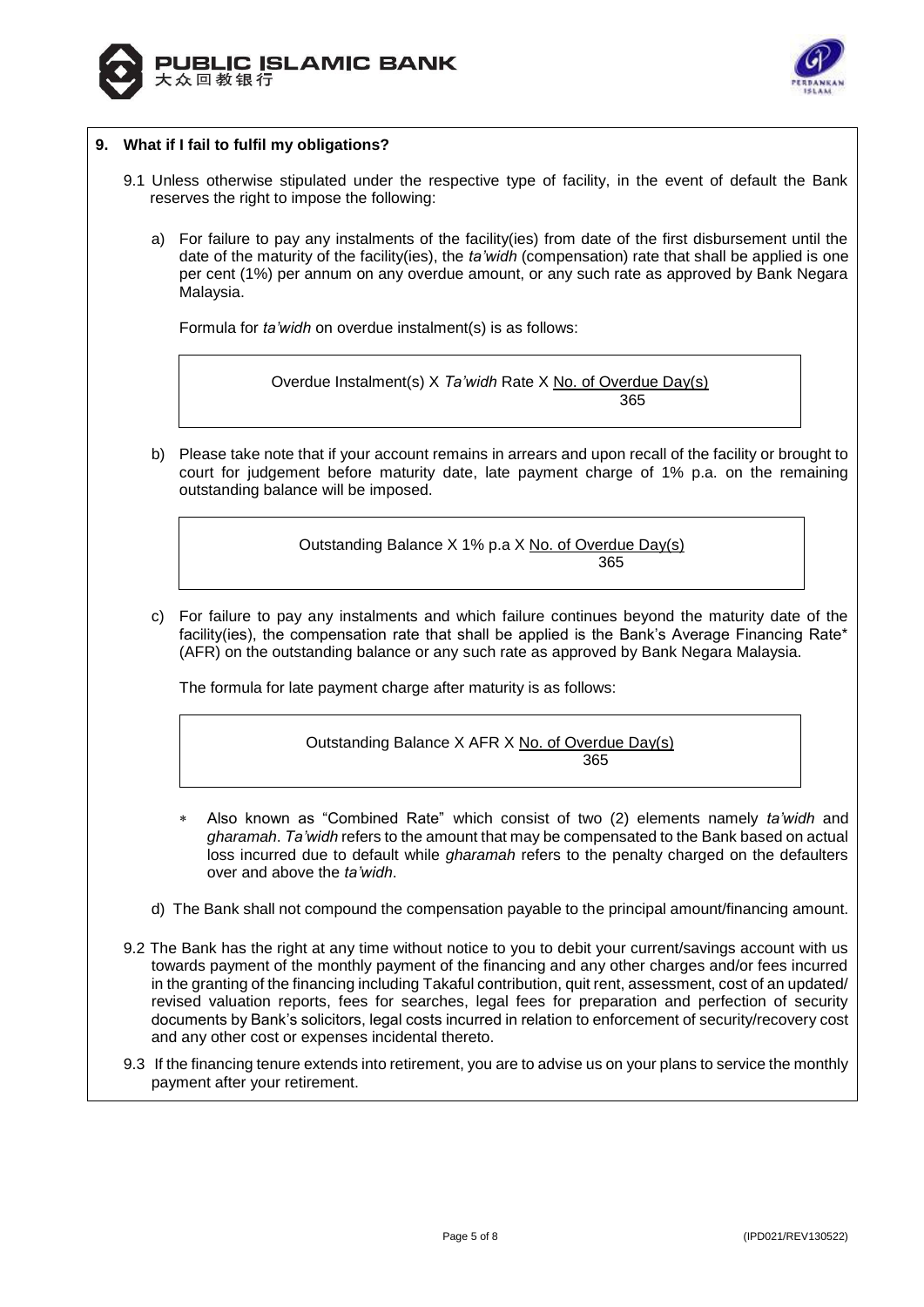



# **9. What if I fail to fulfil my obligations?**

- 9.1 Unless otherwise stipulated under the respective type of facility, in the event of default the Bank reserves the right to impose the following:
	- a) For failure to pay any instalments of the facility(ies) from date of the first disbursement until the date of the maturity of the facility(ies), the *ta'widh* (compensation) rate that shall be applied is one per cent (1%) per annum on any overdue amount, or any such rate as approved by Bank Negara Malaysia.

Formula for *ta'widh* on overdue instalment(s) is as follows:

Overdue Instalment(s) X *Ta'widh* Rate X No. of Overdue Day(s) 365

b) Please take note that if your account remains in arrears and upon recall of the facility or brought to court for judgement before maturity date, late payment charge of 1% p.a. on the remaining outstanding balance will be imposed.

> Outstanding Balance X 1% p.a X No. of Overdue Day(s) 365

c) For failure to pay any instalments and which failure continues beyond the maturity date of the facility(ies), the compensation rate that shall be applied is the Bank's Average Financing Rate\* (AFR) on the outstanding balance or any such rate as approved by Bank Negara Malaysia.

The formula for late payment charge after maturity is as follows:

Outstanding Balance X AFR X No. of Overdue Day(s) 365

- Also known as "Combined Rate" which consist of two (2) elements namely *ta'widh* and *gharamah*. *Ta'widh* refers to the amount that may be compensated to the Bank based on actual loss incurred due to default while *gharamah* refers to the penalty charged on the defaulters over and above the *ta'widh*.
- d) The Bank shall not compound the compensation payable to the principal amount/financing amount.
- 9.2 The Bank has the right at any time without notice to you to debit your current/savings account with us towards payment of the monthly payment of the financing and any other charges and/or fees incurred in the granting of the financing including Takaful contribution, quit rent, assessment, cost of an updated/ revised valuation reports, fees for searches, legal fees for preparation and perfection of security documents by Bank's solicitors, legal costs incurred in relation to enforcement of security/recovery cost and any other cost or expenses incidental thereto.
- 9.3 If the financing tenure extends into retirement, you are to advise us on your plans to service the monthly payment after your retirement.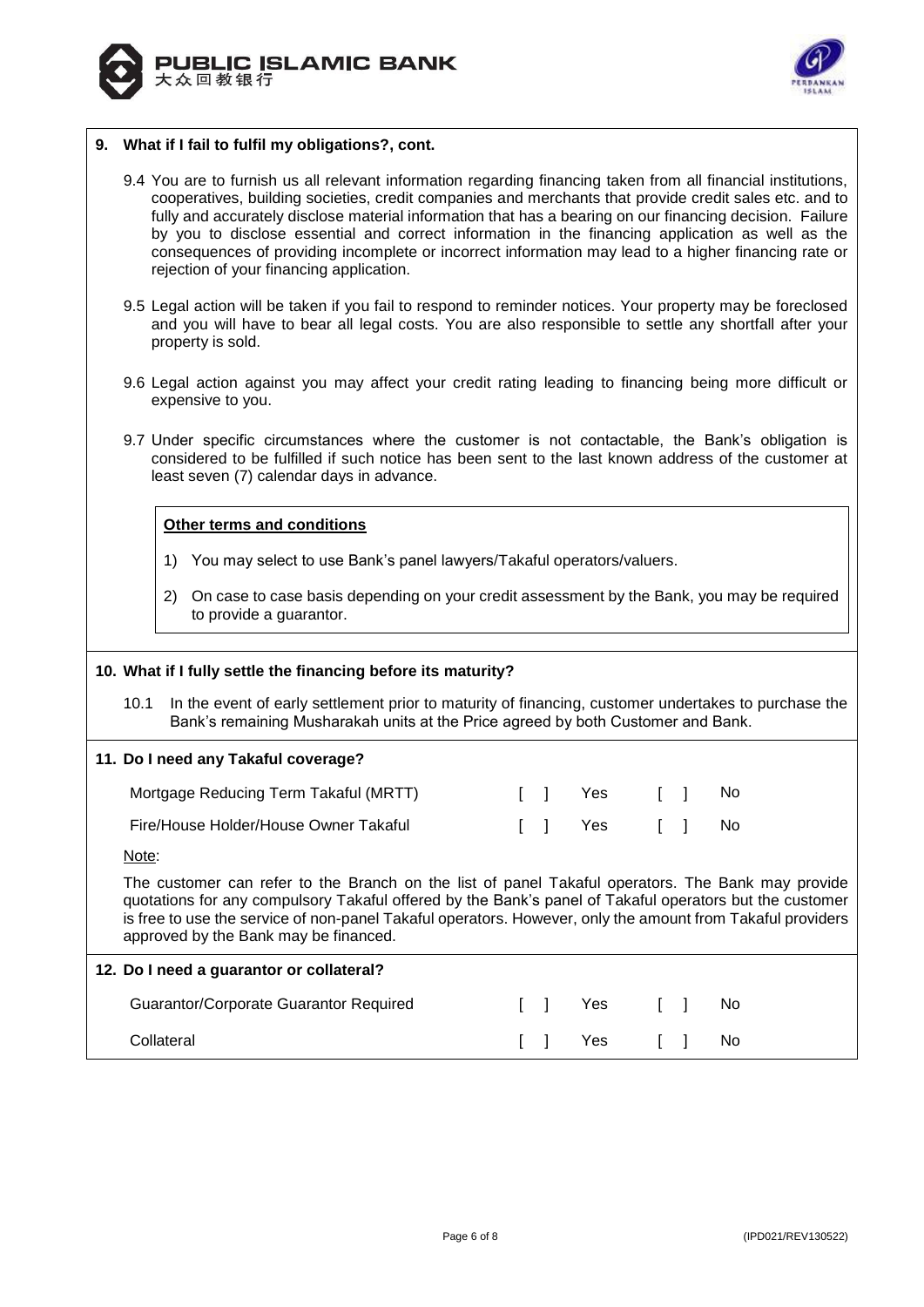



## **9. What if I fail to fulfil my obligations?, cont.**

- 9.4 You are to furnish us all relevant information regarding financing taken from all financial institutions, cooperatives, building societies, credit companies and merchants that provide credit sales etc. and to fully and accurately disclose material information that has a bearing on our financing decision. Failure by you to disclose essential and correct information in the financing application as well as the consequences of providing incomplete or incorrect information may lead to a higher financing rate or rejection of your financing application.
- 9.5 Legal action will be taken if you fail to respond to reminder notices. Your property may be foreclosed and you will have to bear all legal costs. You are also responsible to settle any shortfall after your property is sold.
- 9.6 Legal action against you may affect your credit rating leading to financing being more difficult or expensive to you.
- 9.7 Under specific circumstances where the customer is not contactable, the Bank's obligation is considered to be fulfilled if such notice has been sent to the last known address of the customer at least seven (7) calendar days in advance.

# **Other terms and conditions**

- 1) You may select to use Bank's panel lawyers/Takaful operators/valuers.
- 2) On case to case basis depending on your credit assessment by the Bank, you may be required to provide a guarantor.

## **10. What if I fully settle the financing before its maturity?**

10.1 In the event of early settlement prior to maturity of financing, customer undertakes to purchase the Bank's remaining Musharakah units at the Price agreed by both Customer and Bank.

# **11. Do I need any Takaful coverage?**

| Mortgage Reducing Term Takaful (MRTT) |  |         | [ ] Yes [ ] No |  |
|---------------------------------------|--|---------|----------------|--|
| Fire/House Holder/House Owner Takaful |  | [ ] Yes | [ ] No         |  |

Note:

The customer can refer to the Branch on the list of panel Takaful operators. The Bank may provide quotations for any compulsory Takaful offered by the Bank's panel of Takaful operators but the customer is free to use the service of non-panel Takaful operators. However, only the amount from Takaful providers approved by the Bank may be financed.

| 12. Do I need a guarantor or collateral? |                                        |  |  |                |  |  |  |  |
|------------------------------------------|----------------------------------------|--|--|----------------|--|--|--|--|
|                                          | Guarantor/Corporate Guarantor Required |  |  | II Yes II No   |  |  |  |  |
|                                          | Collateral                             |  |  | [ ] Yes [ ] No |  |  |  |  |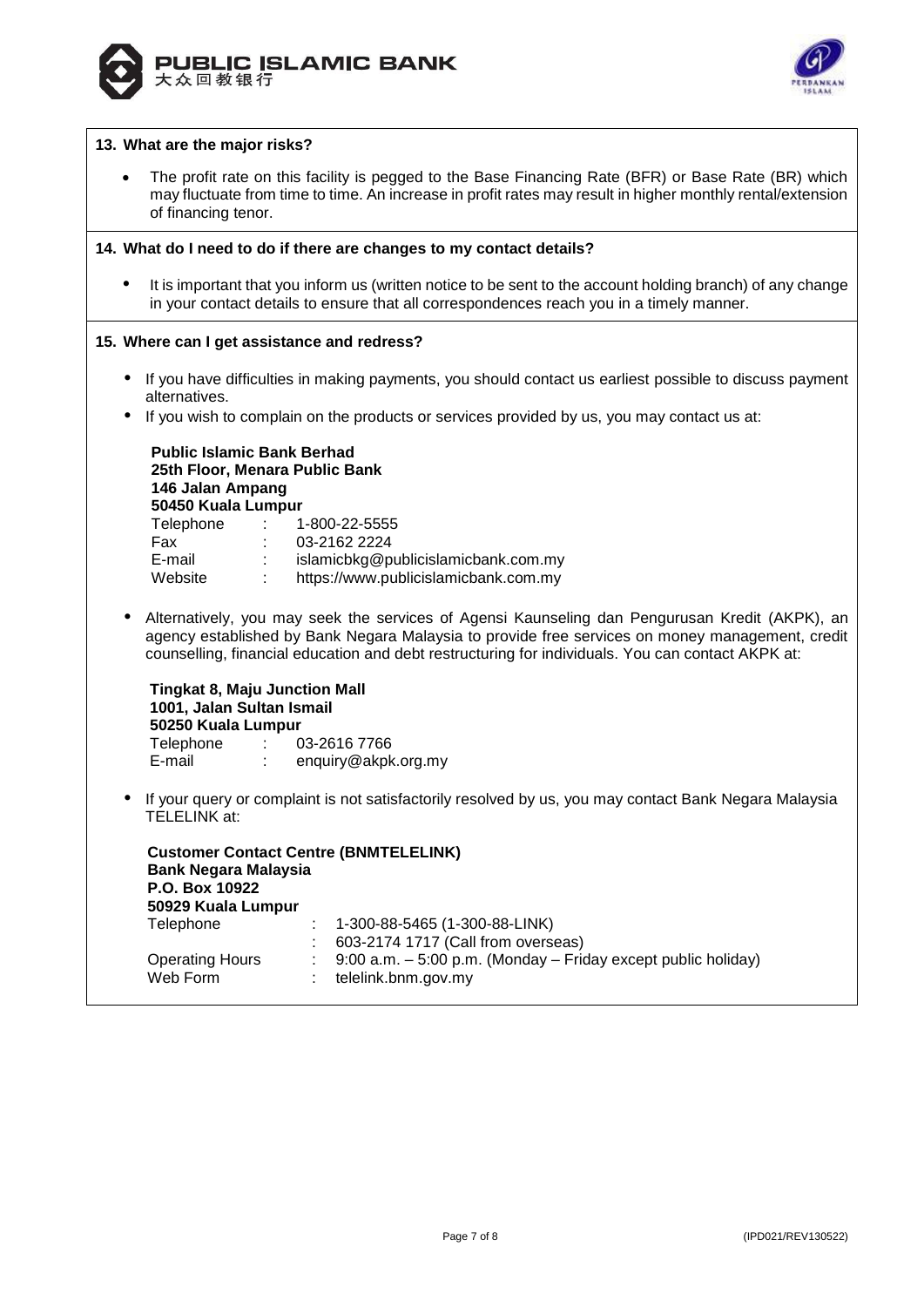



## **13. What are the major risks?**

 The profit rate on this facility is pegged to the Base Financing Rate (BFR) or Base Rate (BR) which may fluctuate from time to time. An increase in profit rates may result in higher monthly rental/extension of financing tenor.

#### **14. What do I need to do if there are changes to my contact details?**

 It is important that you inform us (written notice to be sent to the account holding branch) of any change in your contact details to ensure that all correspondences reach you in a timely manner.

#### **15. Where can I get assistance and redress?**

- If you have difficulties in making payments, you should contact us earliest possible to discuss payment alternatives.
- If you wish to complain on the products or services provided by us, you may contact us at:

# **Public Islamic Bank Berhad 25th Floor, Menara Public Bank 146 Jalan Ampang 50450 Kuala Lumpur** Telephone : 1-800-22-5555 Fax : 03-2162 2224 E-mail : islamicbkg@publicislamicbank.com.my Website : https://www.publicislamicbank.com.my

 Alternatively, you may seek the services of Agensi Kaunseling dan Pengurusan Kredit (AKPK), an agency established by Bank Negara Malaysia to provide free services on money management, credit counselling, financial education and debt restructuring for individuals. You can contact AKPK at:

## **Tingkat 8, Maju Junction Mall 1001, Jalan Sultan Ismail 50250 Kuala Lumpur** Telephone : 03-2616 7766 E-mail : enquiry@akpk.org.my

 If your query or complaint is not satisfactorily resolved by us, you may contact Bank Negara Malaysia TELELINK at:

**Customer Contact Centre (BNMTELELINK) Bank Negara Malaysia P.O. Box 10922 50929 Kuala Lumpur**  Telephone : 1-300-88-5465 (1-300-88-LINK) : 603-2174 1717 (Call from overseas) Operating Hours : 9:00 a.m. – 5:00 p.m. (Monday – Friday except public holiday) Web Form : telelink.bnm.gov.my